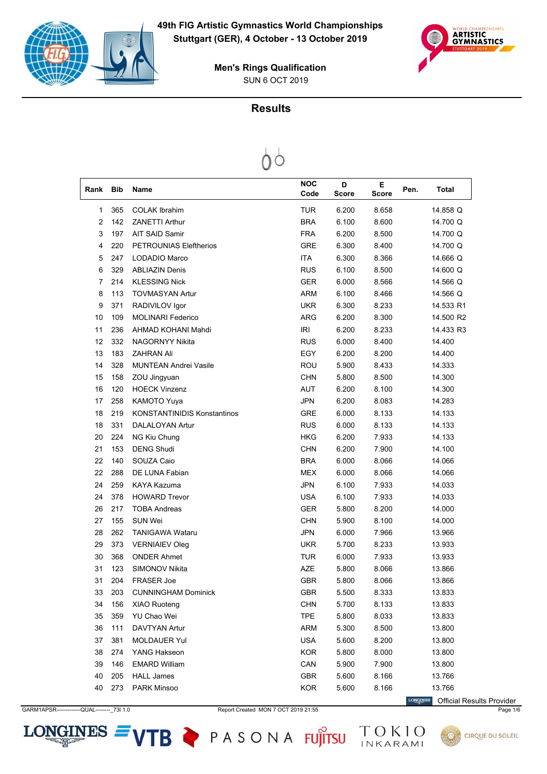



### **Results**

# $\circ$

| Rank           | <b>Bib</b> | Name                               | <b>NOC</b><br>Code | D<br><b>Score</b> | E<br><b>Score</b> | Pen. | Total     |
|----------------|------------|------------------------------------|--------------------|-------------------|-------------------|------|-----------|
| 1              | 365        | <b>COLAK Ibrahim</b>               | <b>TUR</b>         | 6.200             | 8.658             |      | 14.858 Q  |
| $\overline{2}$ | 142        | <b>ZANETTI Arthur</b>              | <b>BRA</b>         | 6.100             | 8.600             |      | 14.700 Q  |
| 3              | 197        | <b>AIT SAID Samir</b>              | <b>FRA</b>         | 6.200             | 8.500             |      | 14.700 Q  |
| 4              | 220        | <b>PETROUNIAS Eleftherios</b>      | <b>GRE</b>         | 6.300             | 8.400             |      | 14.700 Q  |
| 5              | 247        | LODADIO Marco                      | <b>ITA</b>         | 6.300             | 8.366             |      | 14.666 Q  |
| 6              | 329        | <b>ABLIAZIN Denis</b>              | <b>RUS</b>         | 6.100             | 8.500             |      | 14.600 Q  |
| 7              | 214        | <b>KLESSING Nick</b>               | <b>GER</b>         | 6.000             | 8.566             |      | 14.566 Q  |
| 8              | 113        | <b>TOVMASYAN Artur</b>             | <b>ARM</b>         | 6.100             | 8.466             |      | 14.566 Q  |
| 9              | 371        | RADIVILOV Igor                     | <b>UKR</b>         | 6.300             | 8.233             |      | 14.533 R1 |
| 10             | 109        | <b>MOLINARI Federico</b>           | <b>ARG</b>         | 6.200             | 8.300             |      | 14.500 R2 |
| 11             | 236        | AHMAD KOHANI Mahdi                 | <b>IRI</b>         | 6.200             | 8.233             |      | 14.433 R3 |
| 12             | 332        | <b>NAGORNYY Nikita</b>             | <b>RUS</b>         | 6.000             | 8.400             |      | 14.400    |
| 13             | 183        | <b>ZAHRAN Ali</b>                  | EGY                | 6.200             | 8.200             |      | 14.400    |
| 14             | 328        | <b>MUNTEAN Andrei Vasile</b>       | ROU                | 5.900             | 8.433             |      | 14.333    |
| 15             | 158        | ZOU Jingyuan                       | <b>CHN</b>         | 5.800             | 8.500             |      | 14.300    |
| 16             | 120        | <b>HOECK Vinzenz</b>               | <b>AUT</b>         | 6.200             | 8.100             |      | 14.300    |
| 17             | 258        | <b>KAMOTO Yuya</b>                 | <b>JPN</b>         | 6.200             | 8.083             |      | 14.283    |
| 18             | 219        | <b>KONSTANTINIDIS Konstantinos</b> | GRE                | 6.000             | 8.133             |      | 14.133    |
| 18             | 331        | <b>DALALOYAN Artur</b>             | <b>RUS</b>         | 6.000             | 8.133             |      | 14.133    |
| 20             | 224        | NG Kiu Chung                       | HKG                | 6.200             | 7.933             |      | 14.133    |
| 21             | 153        | <b>DENG Shudi</b>                  | <b>CHN</b>         | 6.200             | 7.900             |      | 14.100    |
| 22             | 140        | SOUZA Caio                         | <b>BRA</b>         | 6.000             | 8.066             |      | 14.066    |
| 22             | 288        | DE LUNA Fabian                     | <b>MEX</b>         | 6.000             | 8.066             |      | 14.066    |
| 24             | 259        | KAYA Kazuma                        | <b>JPN</b>         | 6.100             | 7.933             |      | 14.033    |
| 24             | 378        | <b>HOWARD Trevor</b>               | <b>USA</b>         | 6.100             | 7.933             |      | 14.033    |
| 26             | 217        | <b>TOBA Andreas</b>                | <b>GER</b>         | 5.800             | 8.200             |      | 14.000    |
| 27             | 155        | <b>SUN Wei</b>                     | <b>CHN</b>         | 5.900             | 8.100             |      | 14.000    |
| 28             | 262        | <b>TANIGAWA Wataru</b>             | <b>JPN</b>         | 6.000             | 7.966             |      | 13.966    |
| 29             | 373        | <b>VERNIAIEV Oleg</b>              | <b>UKR</b>         | 5.700             | 8.233             |      | 13.933    |
| 30             | 368        | <b>ONDER Ahmet</b>                 | <b>TUR</b>         | 6.000             | 7.933             |      | 13.933    |
| 31             | 123        | SIMONOV Nikita                     | <b>AZE</b>         | 5.800             | 8.066             |      | 13.866    |
| 31             | 204        | <b>FRASER Joe</b>                  | <b>GBR</b>         | 5.800             | 8.066             |      | 13.866    |
| 33             | 203        | <b>CUNNINGHAM Dominick</b>         | GBR                | 5.500             | 8.333             |      | 13.833    |
| 34             | 156        | <b>XIAO Ruoteng</b>                | <b>CHN</b>         | 5.700             | 8.133             |      | 13.833    |
| 35             | 359        | YU Chao Wei                        | <b>TPE</b>         | 5.800             | 8.033             |      | 13.833    |
| 36             | 111        | <b>DAVTYAN Artur</b>               | <b>ARM</b>         | 5.300             | 8.500             |      | 13.800    |
| 37             | 381        | <b>MOLDAUER Yul</b>                | <b>USA</b>         | 5.600             | 8.200             |      | 13.800    |
| 38             | 274        | YANG Hakseon                       | <b>KOR</b>         | 5.800             | 8.000             |      | 13.800    |
| 39             | 146        | <b>EMARD William</b>               | CAN                | 5.900             | 7.900             |      | 13.800    |
| 40             | 205        | <b>HALL James</b>                  | GBR                | 5.600             | 8.166             |      | 13.766    |
| 40             | 273        | PARK Minsoo                        | <b>KOR</b>         | 5.600             | 8.166             |      | 13.766    |

GARM1APSR-------------QUAL--------\_73I 1.0 Report Created MON 7 OCT 2019 21:55 Page 1/6

 $LONGINES =$ 

VTB PASONA FUJITSU

 $\label{eq:conformal} \begin{minipage}{.4\linewidth} \textbf{LONGINES} \end{minipage}$ Official Results Provider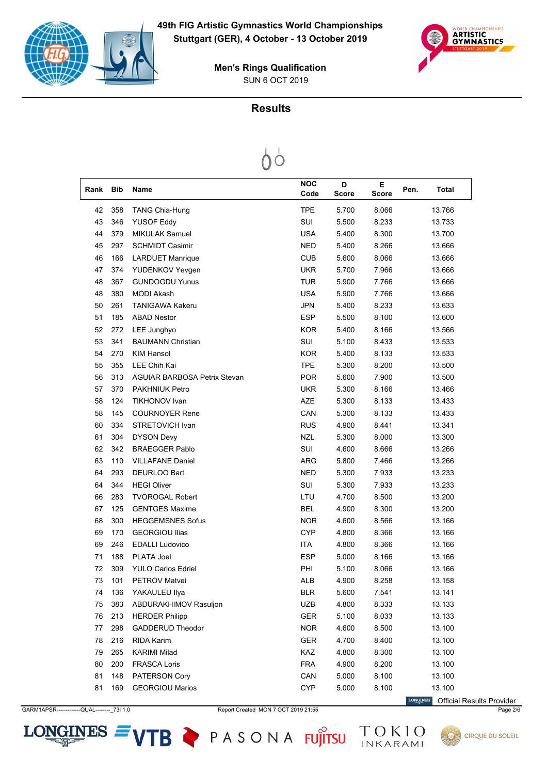



### **Results**



| Rank | <b>Bib</b> | Name                                | <b>NOC</b><br>Code | D<br><b>Score</b> | Е<br>Score | Pen. | <b>Total</b> |
|------|------------|-------------------------------------|--------------------|-------------------|------------|------|--------------|
| 42   | 358        | <b>TANG Chia-Hung</b>               | <b>TPE</b>         | 5.700             | 8.066      |      | 13.766       |
| 43   | 346        | <b>YUSOF Eddy</b>                   | SUI                | 5.500             | 8.233      |      | 13.733       |
| 44   | 379        | <b>MIKULAK Samuel</b>               | <b>USA</b>         | 5.400             | 8.300      |      | 13.700       |
| 45   | 297        | <b>SCHMIDT Casimir</b>              | <b>NED</b>         | 5.400             | 8.266      |      | 13.666       |
| 46   | 166        | <b>LARDUET Manrique</b>             | <b>CUB</b>         | 5.600             | 8.066      |      | 13.666       |
| 47   | 374        | YUDENKOV Yevgen                     | <b>UKR</b>         | 5.700             | 7.966      |      | 13.666       |
| 48   | 367        | <b>GUNDOGDU Yunus</b>               | <b>TUR</b>         | 5.900             | 7.766      |      | 13.666       |
| 48   | 380        | MODI Akash                          | <b>USA</b>         | 5.900             | 7.766      |      | 13.666       |
| 50   | 261        | <b>TANIGAWA Kakeru</b>              | <b>JPN</b>         | 5.400             | 8.233      |      | 13.633       |
| 51   | 185        | <b>ABAD Nestor</b>                  | <b>ESP</b>         | 5.500             | 8.100      |      | 13.600       |
| 52   | 272        | LEE Junghyo                         | <b>KOR</b>         | 5.400             | 8.166      |      | 13.566       |
| 53   | 341        | <b>BAUMANN Christian</b>            | SUI                | 5.100             | 8.433      |      | 13.533       |
| 54   | 270        | <b>KIM Hansol</b>                   | <b>KOR</b>         | 5.400             | 8.133      |      | 13.533       |
| 55   | 355        | <b>LEE Chih Kai</b>                 | <b>TPE</b>         | 5.300             | 8.200      |      | 13.500       |
| 56   | 313        | <b>AGUIAR BARBOSA Petrix Stevan</b> | <b>POR</b>         | 5.600             | 7.900      |      | 13.500       |
| 57   | 370        | <b>PAKHNIUK Petro</b>               | <b>UKR</b>         | 5.300             | 8.166      |      | 13.466       |
| 58   | 124        | <b>TIKHONOV Ivan</b>                | <b>AZE</b>         | 5.300             | 8.133      |      | 13.433       |
| 58   | 145        | <b>COURNOYER Rene</b>               | CAN                | 5.300             | 8.133      |      | 13.433       |
| 60   | 334        | <b>STRETOVICH Ivan</b>              | <b>RUS</b>         | 4.900             | 8.441      |      | 13.341       |
| 61   | 304        | <b>DYSON Devy</b>                   | <b>NZL</b>         | 5.300             | 8.000      |      | 13.300       |
| 62   | 342        | <b>BRAEGGER Pablo</b>               | SUI                | 4.600             | 8.666      |      | 13.266       |
| 63   | 110        | <b>VILLAFANE Daniel</b>             | <b>ARG</b>         | 5.800             | 7.466      |      | 13.266       |
| 64   | 293        | DEURLOO Bart                        | <b>NED</b>         | 5.300             | 7.933      |      | 13.233       |
| 64   | 344        | <b>HEGI Oliver</b>                  | SUI                | 5.300             | 7.933      |      | 13.233       |
| 66   | 283        | <b>TVOROGAL Robert</b>              | LTU                | 4.700             | 8.500      |      | 13.200       |
| 67   | 125        | <b>GENTGES Maxime</b>               | <b>BEL</b>         | 4.900             | 8.300      |      | 13.200       |
| 68   | 300        | <b>HEGGEMSNES Sofus</b>             | <b>NOR</b>         | 4.600             | 8.566      |      | 13.166       |
| 69   | 170        | <b>GEORGIOU Ilias</b>               | <b>CYP</b>         | 4.800             | 8.366      |      | 13.166       |
| 69   | 246        | <b>EDALLI Ludovico</b>              | <b>ITA</b>         | 4.800             | 8.366      |      | 13.166       |
| 71   | 188        | PLATA Joel                          | <b>ESP</b>         | 5.000             | 8.166      |      | 13.166       |
| 72   | 309        | <b>YULO Carlos Edriel</b>           | PHI                | 5.100             | 8.066      |      | 13.166       |
| 73   | 101        | <b>PETROV Matvei</b>                | <b>ALB</b>         | 4.900             | 8.258      |      | 13.158       |
| 74   | 136        | YAKAULEU Ilya                       | <b>BLR</b>         | 5.600             | 7.541      |      | 13.141       |
| 75   | 383        | ABDURAKHIMOV Rasuljon               | <b>UZB</b>         | 4.800             | 8.333      |      | 13.133       |
| 76   | 213        | <b>HERDER Philipp</b>               | <b>GER</b>         | 5.100             | 8.033      |      | 13.133       |
| 77   | 298        | <b>GADDERUD Theodor</b>             | <b>NOR</b>         | 4.600             | 8.500      |      | 13.100       |
| 78   | 216        | RIDA Karim                          | GER                | 4.700             | 8.400      |      | 13.100       |
| 79   | 265        | <b>KARIMI Milad</b>                 | KAZ                | 4.800             | 8.300      |      | 13.100       |
| 80   | 200        | <b>FRASCA Loris</b>                 | <b>FRA</b>         | 4.900             | 8.200      |      | 13.100       |
| 81   | 148        | PATERSON Cory                       | CAN                | 5.000             | 8.100      |      | 13.100       |
| 81   | 169        | <b>GEORGIOU Marios</b>              | <b>CYP</b>         | 5.000             | 8.100      |      | 13.100       |

GARM1APSR-------------QUAL--------\_73I 1.0 Report Created MON 7 OCT 2019 21:55 Page 2/6

 $LONGINES =$ 

VTB PASONA FUJITSU

 $\label{eq:conformal} \begin{minipage}{.4\linewidth} \textbf{LONGINES} \end{minipage}$ Official Results Provider

TOKIO

**CIRQUE DU SOLEIL**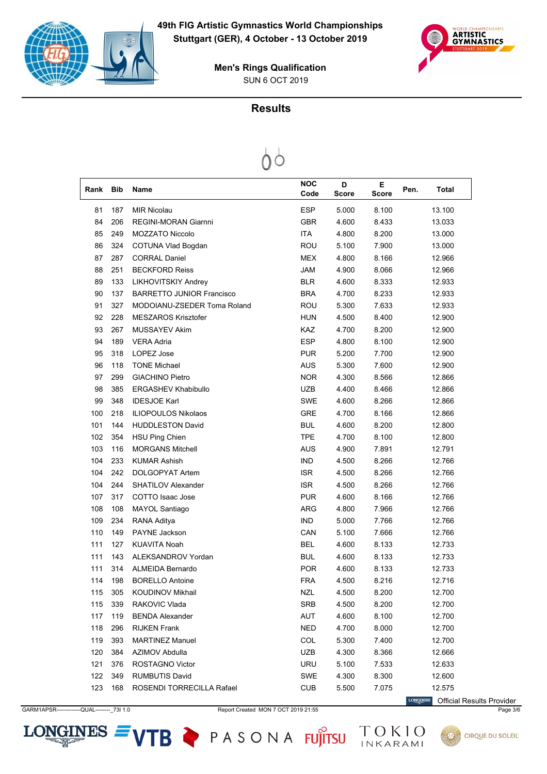



### **Results**



| Rank | <b>Bib</b> | <b>Name</b>                      | NOC<br>Code | D<br><b>Score</b> | Е<br><b>Score</b> | Pen. | Total  |
|------|------------|----------------------------------|-------------|-------------------|-------------------|------|--------|
| 81   | 187        | <b>MIR Nicolau</b>               | <b>ESP</b>  | 5.000             | 8.100             |      | 13.100 |
| 84   | 206        | <b>REGINI-MORAN Giarnni</b>      | <b>GBR</b>  | 4.600             | 8.433             |      | 13.033 |
| 85   | 249        | <b>MOZZATO Niccolo</b>           | <b>ITA</b>  | 4.800             | 8.200             |      | 13.000 |
| 86   | 324        | <b>COTUNA Vlad Bogdan</b>        | <b>ROU</b>  | 5.100             | 7.900             |      | 13.000 |
| 87   | 287        | <b>CORRAL Daniel</b>             | MEX         | 4.800             | 8.166             |      | 12.966 |
| 88   | 251        | <b>BECKFORD Reiss</b>            | <b>JAM</b>  | 4.900             | 8.066             |      | 12.966 |
| 89   | 133        | LIKHOVITSKIY Andrey              | BLR         | 4.600             | 8.333             |      | 12.933 |
| 90   | 137        | <b>BARRETTO JUNIOR Francisco</b> | <b>BRA</b>  | 4.700             | 8.233             |      | 12.933 |
| 91   | 327        | MODOIANU-ZSEDER Toma Roland      | ROU         | 5.300             | 7.633             |      | 12.933 |
| 92   | 228        | <b>MESZAROS Krisztofer</b>       | HUN         | 4.500             | 8.400             |      | 12.900 |
| 93   | 267        | <b>MUSSAYEV Akim</b>             | <b>KAZ</b>  | 4.700             | 8.200             |      | 12.900 |
| 94   | 189        | <b>VERA Adria</b>                | <b>ESP</b>  | 4.800             | 8.100             |      | 12.900 |
| 95   | 318        | LOPEZ Jose                       | <b>PUR</b>  | 5.200             | 7.700             |      | 12.900 |
| 96   | 118        | <b>TONE Michael</b>              | <b>AUS</b>  | 5.300             | 7.600             |      | 12.900 |
| 97   | 299        | <b>GIACHINO Pietro</b>           | <b>NOR</b>  | 4.300             | 8.566             |      | 12.866 |
| 98   | 385        | <b>ERGASHEV Khabibullo</b>       | <b>UZB</b>  | 4.400             | 8.466             |      | 12.866 |
| 99   | 348        | <b>IDESJOE Karl</b>              | <b>SWE</b>  | 4.600             | 8.266             |      | 12.866 |
| 100  | 218        | <b>ILIOPOULOS Nikolaos</b>       | <b>GRE</b>  | 4.700             | 8.166             |      | 12.866 |
| 101  | 144        | <b>HUDDLESTON David</b>          | BUL         | 4.600             | 8.200             |      | 12.800 |
| 102  | 354        | <b>HSU Ping Chien</b>            | <b>TPE</b>  | 4.700             | 8.100             |      | 12.800 |
| 103  | 116        | <b>MORGANS Mitchell</b>          | <b>AUS</b>  | 4.900             | 7.891             |      | 12.791 |
| 104  | 233        | <b>KUMAR Ashish</b>              | <b>IND</b>  | 4.500             | 8.266             |      | 12.766 |
| 104  | 242        | DOLGOPYAT Artem                  | <b>ISR</b>  | 4.500             | 8.266             |      | 12.766 |
| 104  | 244        | <b>SHATILOV Alexander</b>        | <b>ISR</b>  | 4.500             | 8.266             |      | 12.766 |
| 107  | 317        | COTTO Isaac Jose                 | <b>PUR</b>  | 4.600             | 8.166             |      | 12.766 |
| 108  | 108        | <b>MAYOL Santiago</b>            | ARG         | 4.800             | 7.966             |      | 12.766 |
| 109  | 234        | RANA Aditya                      | <b>IND</b>  | 5.000             | 7.766             |      | 12.766 |
| 110  | 149        | <b>PAYNE Jackson</b>             | CAN         | 5.100             | 7.666             |      | 12.766 |
| 111  | 127        | <b>KUAVITA Noah</b>              | <b>BEL</b>  | 4.600             | 8.133             |      | 12.733 |
| 111  | 143        | ALEKSANDROV Yordan               | <b>BUL</b>  | 4.600             | 8.133             |      | 12.733 |
| 111  | 314        | ALMEIDA Bernardo                 | POR         | 4.600             | 8.133             |      | 12.733 |
| 114  | 198        | <b>BORELLO Antoine</b>           | <b>FRA</b>  | 4.500             | 8.216             |      | 12.716 |
| 115  | 305        | KOUDINOV Mikhail                 | <b>NZL</b>  | 4.500             | 8.200             |      | 12.700 |
| 115  | 339        | RAKOVIC Vlada                    | <b>SRB</b>  | 4.500             | 8.200             |      | 12.700 |
| 117  | 119        | <b>BENDA Alexander</b>           | AUT         | 4.600             | 8.100             |      | 12.700 |
| 118  | 296        | <b>RIJKEN Frank</b>              | <b>NED</b>  | 4.700             | 8.000             |      | 12.700 |
| 119  | 393        | <b>MARTINEZ Manuel</b>           | COL         | 5.300             | 7.400             |      | 12.700 |
| 120  | 384        | AZIMOV Abdulla                   | UZB         | 4.300             | 8.366             |      | 12.666 |
| 121  | 376        | ROSTAGNO Victor                  | URU         | 5.100             | 7.533             |      | 12.633 |
| 122  | 349        | <b>RUMBUTIS David</b>            | SWE         | 4.300             | 8.300             |      | 12.600 |
| 123  | 168        | ROSENDI TORRECILLA Rafael        | <b>CUB</b>  | 5.500             | 7.075             |      | 12.575 |

 $LONGINES =$ 

GARM1APSR-------------QUAL--------\_73I 1.0 Report Created MON 7 OCT 2019 21:55 Page 3/6

VTB PASONA FUJITSU

 $\label{eq:conformal} \begin{minipage}{.4\linewidth} \textbf{LONGINES} \end{minipage}$ Official Results Provider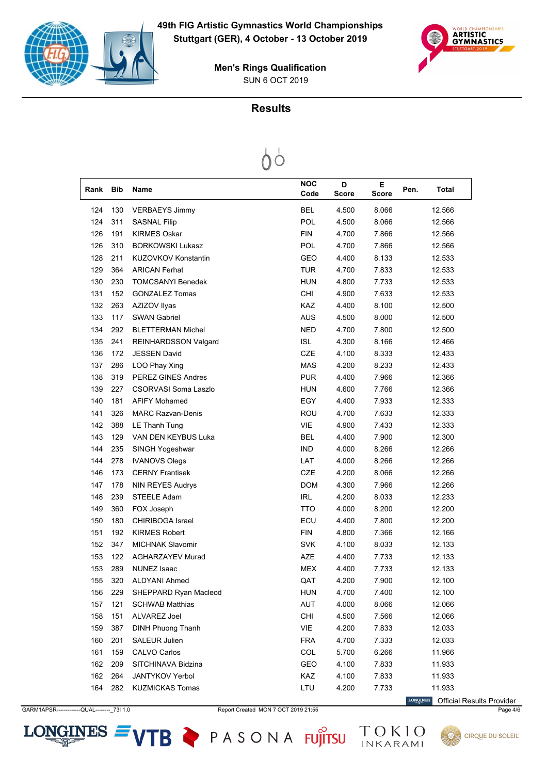



#### **Results**



| Rank | <b>Bib</b> | Name                        | <b>NOC</b><br>Code | D<br><b>Score</b> | Е<br><b>Score</b> | Pen. | Total  |
|------|------------|-----------------------------|--------------------|-------------------|-------------------|------|--------|
| 124  | 130        | <b>VERBAEYS Jimmy</b>       | <b>BEL</b>         | 4.500             | 8.066             |      | 12.566 |
| 124  | 311        | <b>SASNAL Filip</b>         | POL                | 4.500             | 8.066             |      | 12.566 |
| 126  | 191        | <b>KIRMES Oskar</b>         | <b>FIN</b>         | 4.700             | 7.866             |      | 12.566 |
| 126  | 310        | <b>BORKOWSKI Lukasz</b>     | POL                | 4.700             | 7.866             |      | 12.566 |
| 128  | 211        | KUZOVKOV Konstantin         | <b>GEO</b>         | 4.400             | 8.133             |      | 12.533 |
| 129  | 364        | <b>ARICAN Ferhat</b>        | TUR                | 4.700             | 7.833             |      | 12.533 |
| 130  | 230        | <b>TOMCSANYI Benedek</b>    | <b>HUN</b>         | 4.800             | 7.733             |      | 12.533 |
| 131  | 152        | <b>GONZALEZ Tomas</b>       | CHI                | 4.900             | 7.633             |      | 12.533 |
| 132  | 263        | AZIZOV Ilyas                | KAZ                | 4.400             | 8.100             |      | 12.500 |
| 133  | 117        | <b>SWAN Gabriel</b>         | <b>AUS</b>         | 4.500             | 8.000             |      | 12.500 |
| 134  | 292        | <b>BLETTERMAN Michel</b>    | <b>NED</b>         | 4.700             | 7.800             |      | 12.500 |
| 135  | 241        | <b>REINHARDSSON Valgard</b> | <b>ISL</b>         | 4.300             | 8.166             |      | 12.466 |
| 136  | 172        | <b>JESSEN David</b>         | <b>CZE</b>         | 4.100             | 8.333             |      | 12.433 |
| 137  | 286        | LOO Phay Xing               | <b>MAS</b>         | 4.200             | 8.233             |      | 12.433 |
| 138  | 319        | <b>PEREZ GINES Andres</b>   | <b>PUR</b>         | 4.400             | 7.966             |      | 12.366 |
| 139  | 227        | CSORVASI Soma Laszlo        | <b>HUN</b>         | 4.600             | 7.766             |      | 12.366 |
| 140  | 181        | <b>AFIFY Mohamed</b>        | EGY                | 4.400             | 7.933             |      | 12.333 |
| 141  | 326        | <b>MARC Razvan-Denis</b>    | ROU                | 4.700             | 7.633             |      | 12.333 |
| 142  | 388        | LE Thanh Tung               | <b>VIE</b>         | 4.900             | 7.433             |      | 12.333 |
| 143  | 129        | VAN DEN KEYBUS Luka         | <b>BEL</b>         | 4.400             | 7.900             |      | 12.300 |
| 144  | 235        | SINGH Yogeshwar             | <b>IND</b>         | 4.000             | 8.266             |      | 12.266 |
| 144  | 278        | <b>IVANOVS Olegs</b>        | LAT                | 4.000             | 8.266             |      | 12.266 |
| 146  | 173        | <b>CERNY Frantisek</b>      | <b>CZE</b>         | 4.200             | 8.066             |      | 12.266 |
| 147  | 178        | NIN REYES Audrys            | <b>DOM</b>         | 4.300             | 7.966             |      | 12.266 |
| 148  | 239        | <b>STEELE Adam</b>          | <b>IRL</b>         | 4.200             | 8.033             |      | 12.233 |
| 149  | 360        | FOX Joseph                  | <b>TTO</b>         | 4.000             | 8.200             |      | 12.200 |
| 150  | 180        | <b>CHIRIBOGA Israel</b>     | ECU                | 4.400             | 7.800             |      | 12.200 |
| 151  | 192        | <b>KIRMES Robert</b>        | <b>FIN</b>         | 4.800             | 7.366             |      | 12.166 |
| 152  | 347        | <b>MICHNAK Slavomir</b>     | <b>SVK</b>         | 4.100             | 8.033             |      | 12.133 |
| 153  | 122        | <b>AGHARZAYEV Murad</b>     | AZE                | 4.400             | 7.733             |      | 12.133 |
| 153  | 289        | <b>NUNEZ Isaac</b>          | <b>MEX</b>         | 4.400             | 7.733             |      | 12.133 |
| 155  | 320        | ALDYANI Ahmed               | QAT                | 4.200             | 7.900             |      | 12.100 |
| 156  | 229        | SHEPPARD Ryan Macleod       | <b>HUN</b>         | 4.700             | 7.400             |      | 12.100 |
| 157  | 121        | <b>SCHWAB Matthias</b>      | AUT                | 4.000             | 8.066             |      | 12.066 |
| 158  | 151        | ALVAREZ Joel                | CHI                | 4.500             | 7.566             |      | 12.066 |
| 159  | 387        | <b>DINH Phuong Thanh</b>    | VIE                | 4.200             | 7.833             |      | 12.033 |
| 160  | 201        | SALEUR Julien               | <b>FRA</b>         | 4.700             | 7.333             |      | 12.033 |
| 161  | 159        | CALVO Carlos                | COL                | 5.700             | 6.266             |      | 11.966 |
| 162  | 209        | SITCHINAVA Bidzina          | GEO                | 4.100             | 7.833             |      | 11.933 |
| 162  | 264        | <b>JANTYKOV Yerbol</b>      | KAZ                | 4.100             | 7.833             |      | 11.933 |
| 164  | 282        | <b>KUZMICKAS Tomas</b>      | LTU                | 4.200             | 7.733             |      | 11.933 |

GARM1APSR-------------QUAL--------\_73I 1.0 Report Created MON 7 OCT 2019 21:55 Page 4/6

LONGINES Official Results Provider



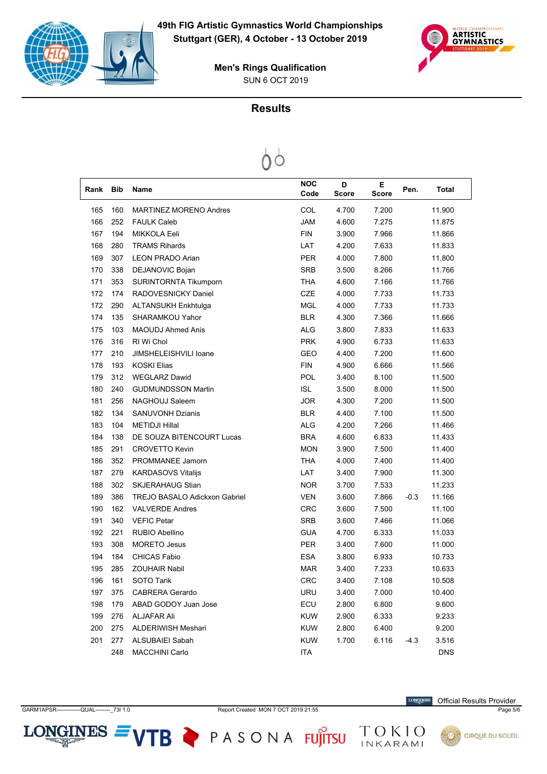



### **Results**

| Rank | <b>Bib</b> | Name                          | <b>NOC</b><br>Code | D<br><b>Score</b> | Е<br><b>Score</b> | Pen.   | Total      |
|------|------------|-------------------------------|--------------------|-------------------|-------------------|--------|------------|
| 165  | 160        | <b>MARTINEZ MORENO Andres</b> | COL                | 4.700             | 7.200             |        | 11.900     |
| 166  | 252        | <b>FAULK Caleb</b>            | <b>JAM</b>         | 4.600             | 7.275             |        | 11.875     |
| 167  | 194        | MIKKOLA Eeli                  | <b>FIN</b>         | 3.900             | 7.966             |        | 11.866     |
| 168  | 280        | <b>TRAMS Rihards</b>          | LAT                | 4.200             | 7.633             |        | 11.833     |
| 169  | 307        | <b>LEON PRADO Arian</b>       | PER                | 4.000             | 7.800             |        | 11.800     |
| 170  | 338        | DEJANOVIC Bojan               | <b>SRB</b>         | 3.500             | 8.266             |        | 11.766     |
| 171  | 353        | <b>SURINTORNTA Tikumporn</b>  | <b>THA</b>         | 4.600             | 7.166             |        | 11.766     |
| 172  | 174        | RADOVESNICKY Daniel           | CZE                | 4.000             | 7.733             |        | 11.733     |
| 172  | 290        | <b>ALTANSUKH Enkhtulga</b>    | <b>MGL</b>         | 4.000             | 7.733             |        | 11.733     |
| 174  | 135        | <b>SHARAMKOU Yahor</b>        | <b>BLR</b>         | 4.300             | 7.366             |        | 11.666     |
| 175  | 103        | <b>MAOUDJ Ahmed Anis</b>      | <b>ALG</b>         | 3.800             | 7.833             |        | 11.633     |
| 176  | 316        | RI Wi Chol                    | <b>PRK</b>         | 4.900             | 6.733             |        | 11.633     |
| 177  | 210        | JIMSHELEISHVILI Ioane         | GEO                | 4.400             | 7.200             |        | 11.600     |
| 178  | 193        | <b>KOSKI Elias</b>            | <b>FIN</b>         | 4.900             | 6.666             |        | 11.566     |
| 179  | 312        | <b>WEGLARZ Dawid</b>          | POL                | 3.400             | 8.100             |        | 11.500     |
| 180  | 240        | <b>GUDMUNDSSON Martin</b>     | <b>ISL</b>         | 3.500             | 8.000             |        | 11.500     |
| 181  | 256        | NAGHOUJ Saleem                | <b>JOR</b>         | 4.300             | 7.200             |        | 11.500     |
| 182  | 134        | <b>SANUVONH Dzianis</b>       | <b>BLR</b>         | 4.400             | 7.100             |        | 11.500     |
| 183  | 104        | <b>METIDJI Hillal</b>         | <b>ALG</b>         | 4.200             | 7.266             |        | 11.466     |
| 184  | 138        | DE SOUZA BITENCOURT Lucas     | <b>BRA</b>         | 4.600             | 6.833             |        | 11.433     |
| 185  | 291        | <b>CROVETTO Kevin</b>         | <b>MON</b>         | 3.900             | 7.500             |        | 11.400     |
| 186  | 352        | PROMMANEE Jamorn              | <b>THA</b>         | 4.000             | 7.400             |        | 11.400     |
| 187  | 279        | <b>KARDASOVS Vitalijs</b>     | LAT                | 3.400             | 7.900             |        | 11.300     |
| 188  | 302        | <b>SKJERAHAUG Stian</b>       | <b>NOR</b>         | 3.700             | 7.533             |        | 11.233     |
| 189  | 386        | TREJO BASALO Adickxon Gabriel | <b>VEN</b>         | 3.600             | 7.866             | $-0.3$ | 11.166     |
| 190  | 162        | <b>VALVERDE Andres</b>        | <b>CRC</b>         | 3.600             | 7.500             |        | 11.100     |
| 191  | 340        | <b>VEFIC Petar</b>            | <b>SRB</b>         | 3.600             | 7.466             |        | 11.066     |
| 192  | 221        | RUBIO Abellino                | <b>GUA</b>         | 4.700             | 6.333             |        | 11.033     |
| 193  | 308        | <b>MORETO Jesus</b>           | <b>PER</b>         | 3.400             | 7.600             |        | 11.000     |
| 194  | 184        | <b>CHICAS Fabio</b>           | <b>ESA</b>         | 3.800             | 6.933             |        | 10.733     |
| 195  | 285        | <b>ZOUHAIR Nabil</b>          | <b>MAR</b>         | 3.400             | 7.233             |        | 10.633     |
| 196  | 161        | <b>SOTO Tarik</b>             | <b>CRC</b>         | 3.400             | 7.108             |        | 10.508     |
| 197  | 375        | <b>CABRERA Gerardo</b>        | <b>URU</b>         | 3.400             | 7.000             |        | 10.400     |
| 198  | 179        | ABAD GODOY Juan Jose          | ECU                | 2.800             | 6.800             |        | 9.600      |
| 199  | 276        | <b>ALJAFAR Ali</b>            | <b>KUW</b>         | 2.900             | 6.333             |        | 9.233      |
| 200  | 275        | ALDERIWISH Meshari            | <b>KUW</b>         | 2.800             | 6.400             |        | 9.200      |
| 201  | 277        | ALSUBAIEI Sabah               | <b>KUW</b>         | 1.700             | 6.116             | $-4.3$ | 3.516      |
|      | 248        | <b>MACCHINI Carlo</b>         | ITA                |                   |                   |        | <b>DNS</b> |

 $LONGINES =$ 

GARM1APSR-------------QUAL--------\_73I 1.0 Report Created MON 7 OCT 2019 21:55 Page 5/6

VTB PASONA FUJITSU

 $\label{eq:conformal} \begin{minipage}{.4\linewidth} \textbf{LONGINES} \end{minipage}$ Official Results Provider